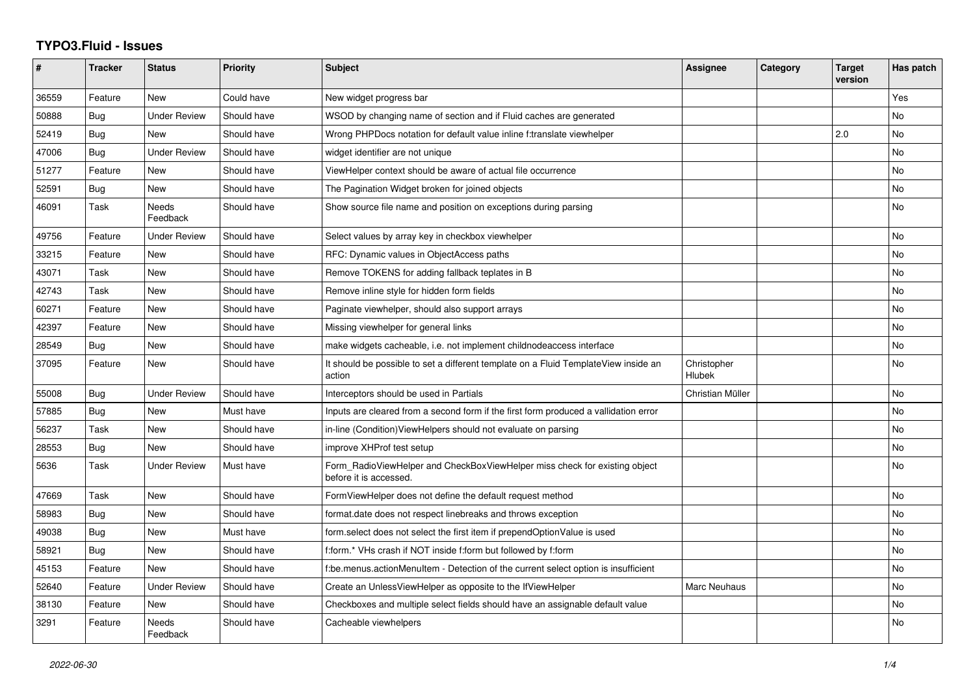## **TYPO3.Fluid - Issues**

| #     | <b>Tracker</b> | <b>Status</b>            | <b>Priority</b> | <b>Subject</b>                                                                                       | Assignee              | Category | <b>Target</b><br>version | Has patch |
|-------|----------------|--------------------------|-----------------|------------------------------------------------------------------------------------------------------|-----------------------|----------|--------------------------|-----------|
| 36559 | Feature        | <b>New</b>               | Could have      | New widget progress bar                                                                              |                       |          |                          | Yes       |
| 50888 | Bug            | <b>Under Review</b>      | Should have     | WSOD by changing name of section and if Fluid caches are generated                                   |                       |          |                          | No        |
| 52419 | Bug            | New                      | Should have     | Wrong PHPDocs notation for default value inline f:translate viewhelper                               |                       |          | 2.0                      | <b>No</b> |
| 47006 | Bug            | <b>Under Review</b>      | Should have     | widget identifier are not unique                                                                     |                       |          |                          | <b>No</b> |
| 51277 | Feature        | New                      | Should have     | ViewHelper context should be aware of actual file occurrence                                         |                       |          |                          | No        |
| 52591 | Bug            | <b>New</b>               | Should have     | The Pagination Widget broken for joined objects                                                      |                       |          |                          | No        |
| 46091 | Task           | Needs<br>Feedback        | Should have     | Show source file name and position on exceptions during parsing                                      |                       |          |                          | No        |
| 49756 | Feature        | <b>Under Review</b>      | Should have     | Select values by array key in checkbox viewhelper                                                    |                       |          |                          | No        |
| 33215 | Feature        | <b>New</b>               | Should have     | RFC: Dynamic values in ObjectAccess paths                                                            |                       |          |                          | <b>No</b> |
| 43071 | Task           | <b>New</b>               | Should have     | Remove TOKENS for adding fallback teplates in B                                                      |                       |          |                          | No        |
| 42743 | Task           | New                      | Should have     | Remove inline style for hidden form fields                                                           |                       |          |                          | No        |
| 60271 | Feature        | <b>New</b>               | Should have     | Paginate viewhelper, should also support arrays                                                      |                       |          |                          | <b>No</b> |
| 42397 | Feature        | New                      | Should have     | Missing viewhelper for general links                                                                 |                       |          |                          | No.       |
| 28549 | Bug            | New                      | Should have     | make widgets cacheable, i.e. not implement childnodeaccess interface                                 |                       |          |                          | No        |
| 37095 | Feature        | <b>New</b>               | Should have     | It should be possible to set a different template on a Fluid TemplateView inside an<br>action        | Christopher<br>Hlubek |          |                          | <b>No</b> |
| 55008 | Bug            | <b>Under Review</b>      | Should have     | Interceptors should be used in Partials                                                              | Christian Müller      |          |                          | <b>No</b> |
| 57885 | Bug            | New                      | Must have       | Inputs are cleared from a second form if the first form produced a vallidation error                 |                       |          |                          | No        |
| 56237 | Task           | <b>New</b>               | Should have     | in-line (Condition) View Helpers should not evaluate on parsing                                      |                       |          |                          | No        |
| 28553 | Bug            | New                      | Should have     | improve XHProf test setup                                                                            |                       |          |                          | No        |
| 5636  | Task           | <b>Under Review</b>      | Must have       | Form RadioViewHelper and CheckBoxViewHelper miss check for existing object<br>before it is accessed. |                       |          |                          | No        |
| 47669 | Task           | New                      | Should have     | FormViewHelper does not define the default request method                                            |                       |          |                          | No        |
| 58983 | Bug            | <b>New</b>               | Should have     | format.date does not respect linebreaks and throws exception                                         |                       |          |                          | No        |
| 49038 | Bug            | <b>New</b>               | Must have       | form.select does not select the first item if prependOptionValue is used                             |                       |          |                          | No        |
| 58921 | Bug            | New                      | Should have     | f:form.* VHs crash if NOT inside f:form but followed by f:form                                       |                       |          |                          | No        |
| 45153 | Feature        | <b>New</b>               | Should have     | f:be.menus.actionMenuItem - Detection of the current select option is insufficient                   |                       |          |                          | No        |
| 52640 | Feature        | <b>Under Review</b>      | Should have     | Create an UnlessViewHelper as opposite to the IfViewHelper                                           | <b>Marc Neuhaus</b>   |          |                          | <b>No</b> |
| 38130 | Feature        | New                      | Should have     | Checkboxes and multiple select fields should have an assignable default value                        |                       |          |                          | No        |
| 3291  | Feature        | <b>Needs</b><br>Feedback | Should have     | Cacheable viewhelpers                                                                                |                       |          |                          | No        |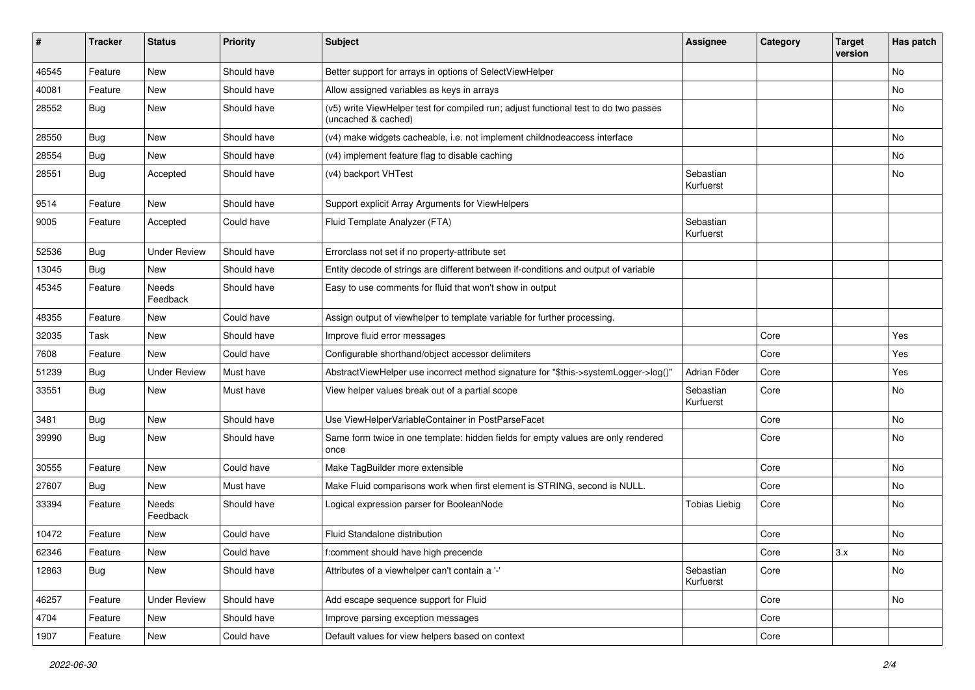| #     | <b>Tracker</b> | <b>Status</b>       | <b>Priority</b> | <b>Subject</b>                                                                                              | <b>Assignee</b>        | Category | <b>Target</b><br>version | Has patch |
|-------|----------------|---------------------|-----------------|-------------------------------------------------------------------------------------------------------------|------------------------|----------|--------------------------|-----------|
| 46545 | Feature        | New                 | Should have     | Better support for arrays in options of SelectViewHelper                                                    |                        |          |                          | No        |
| 40081 | Feature        | New                 | Should have     | Allow assigned variables as keys in arrays                                                                  |                        |          |                          | No        |
| 28552 | <b>Bug</b>     | New                 | Should have     | (v5) write ViewHelper test for compiled run; adjust functional test to do two passes<br>(uncached & cached) |                        |          |                          | No        |
| 28550 | Bug            | New                 | Should have     | (v4) make widgets cacheable, i.e. not implement childnodeaccess interface                                   |                        |          |                          | No        |
| 28554 | Bug            | New                 | Should have     | (v4) implement feature flag to disable caching                                                              |                        |          |                          | No.       |
| 28551 | <b>Bug</b>     | Accepted            | Should have     | (v4) backport VHTest                                                                                        | Sebastian<br>Kurfuerst |          |                          | No        |
| 9514  | Feature        | New                 | Should have     | Support explicit Array Arguments for ViewHelpers                                                            |                        |          |                          |           |
| 9005  | Feature        | Accepted            | Could have      | Fluid Template Analyzer (FTA)                                                                               | Sebastian<br>Kurfuerst |          |                          |           |
| 52536 | Bug            | <b>Under Review</b> | Should have     | Errorclass not set if no property-attribute set                                                             |                        |          |                          |           |
| 13045 | <b>Bug</b>     | New                 | Should have     | Entity decode of strings are different between if-conditions and output of variable                         |                        |          |                          |           |
| 45345 | Feature        | Needs<br>Feedback   | Should have     | Easy to use comments for fluid that won't show in output                                                    |                        |          |                          |           |
| 48355 | Feature        | New                 | Could have      | Assign output of viewhelper to template variable for further processing.                                    |                        |          |                          |           |
| 32035 | Task           | New                 | Should have     | Improve fluid error messages                                                                                |                        | Core     |                          | Yes       |
| 7608  | Feature        | <b>New</b>          | Could have      | Configurable shorthand/object accessor delimiters                                                           |                        | Core     |                          | Yes       |
| 51239 | Bug            | <b>Under Review</b> | Must have       | AbstractViewHelper use incorrect method signature for "\$this->systemLogger->log()"                         | Adrian Föder           | Core     |                          | Yes       |
| 33551 | Bug            | New                 | Must have       | View helper values break out of a partial scope                                                             | Sebastian<br>Kurfuerst | Core     |                          | No        |
| 3481  | Bug            | New                 | Should have     | Use ViewHelperVariableContainer in PostParseFacet                                                           |                        | Core     |                          | No        |
| 39990 | <b>Bug</b>     | New                 | Should have     | Same form twice in one template: hidden fields for empty values are only rendered<br>once                   |                        | Core     |                          | No        |
| 30555 | Feature        | New                 | Could have      | Make TagBuilder more extensible                                                                             |                        | Core     |                          | No        |
| 27607 | <b>Bug</b>     | New                 | Must have       | Make Fluid comparisons work when first element is STRING, second is NULL.                                   |                        | Core     |                          | No        |
| 33394 | Feature        | Needs<br>Feedback   | Should have     | Logical expression parser for BooleanNode                                                                   | Tobias Liebig          | Core     |                          | No        |
| 10472 | Feature        | New                 | Could have      | <b>Fluid Standalone distribution</b>                                                                        |                        | Core     |                          | No        |
| 62346 | Feature        | New                 | Could have      | f:comment should have high precende                                                                         |                        | Core     | 3.x                      | No        |
| 12863 | <b>Bug</b>     | New                 | Should have     | Attributes of a viewhelper can't contain a '-'                                                              | Sebastian<br>Kurfuerst | Core     |                          | No        |
| 46257 | Feature        | <b>Under Review</b> | Should have     | Add escape sequence support for Fluid                                                                       |                        | Core     |                          | No        |
| 4704  | Feature        | New                 | Should have     | Improve parsing exception messages                                                                          |                        | Core     |                          |           |
| 1907  | Feature        | New                 | Could have      | Default values for view helpers based on context                                                            |                        | Core     |                          |           |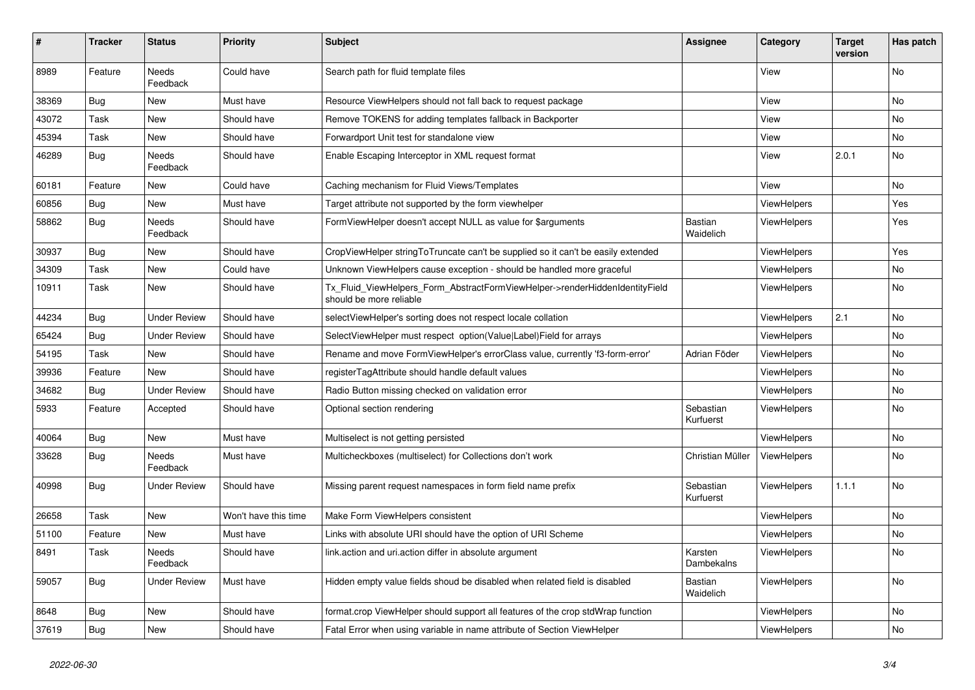| #     | <b>Tracker</b> | <b>Status</b>            | <b>Priority</b>      | <b>Subject</b>                                                                                         | <b>Assignee</b>             | Category           | Target<br>version | Has patch |
|-------|----------------|--------------------------|----------------------|--------------------------------------------------------------------------------------------------------|-----------------------------|--------------------|-------------------|-----------|
| 8989  | Feature        | Needs<br>Feedback        | Could have           | Search path for fluid template files                                                                   |                             | View               |                   | No        |
| 38369 | <b>Bug</b>     | New                      | Must have            | Resource ViewHelpers should not fall back to request package                                           |                             | View               |                   | No        |
| 43072 | Task           | New                      | Should have          | Remove TOKENS for adding templates fallback in Backporter                                              |                             | View               |                   | No        |
| 45394 | Task           | New                      | Should have          | Forwardport Unit test for standalone view                                                              |                             | View               |                   | <b>No</b> |
| 46289 | Bug            | Needs<br>Feedback        | Should have          | Enable Escaping Interceptor in XML request format                                                      |                             | View               | 2.0.1             | No        |
| 60181 | Feature        | New                      | Could have           | Caching mechanism for Fluid Views/Templates                                                            |                             | View               |                   | <b>No</b> |
| 60856 | <b>Bug</b>     | New                      | Must have            | Target attribute not supported by the form viewhelper                                                  |                             | ViewHelpers        |                   | Yes       |
| 58862 | <b>Bug</b>     | Needs<br>Feedback        | Should have          | FormViewHelper doesn't accept NULL as value for \$arguments                                            | <b>Bastian</b><br>Waidelich | ViewHelpers        |                   | Yes       |
| 30937 | Bug            | New                      | Should have          | CropViewHelper stringToTruncate can't be supplied so it can't be easily extended                       |                             | ViewHelpers        |                   | Yes       |
| 34309 | Task           | New                      | Could have           | Unknown ViewHelpers cause exception - should be handled more graceful                                  |                             | ViewHelpers        |                   | No        |
| 10911 | Task           | New                      | Should have          | Tx Fluid ViewHelpers Form AbstractFormViewHelper->renderHiddenIdentityField<br>should be more reliable |                             | <b>ViewHelpers</b> |                   | <b>No</b> |
| 44234 | Bug            | <b>Under Review</b>      | Should have          | selectViewHelper's sorting does not respect locale collation                                           |                             | <b>ViewHelpers</b> | 2.1               | <b>No</b> |
| 65424 | Bug            | <b>Under Review</b>      | Should have          | SelectViewHelper must respect option(Value Label)Field for arrays                                      |                             | <b>ViewHelpers</b> |                   | No        |
| 54195 | Task           | New                      | Should have          | Rename and move FormViewHelper's errorClass value, currently 'f3-form-error'                           | Adrian Föder                | ViewHelpers        |                   | No        |
| 39936 | Feature        | New                      | Should have          | registerTagAttribute should handle default values                                                      |                             | ViewHelpers        |                   | <b>No</b> |
| 34682 | Bug            | Under Review             | Should have          | Radio Button missing checked on validation error                                                       |                             | <b>ViewHelpers</b> |                   | No        |
| 5933  | Feature        | Accepted                 | Should have          | Optional section rendering                                                                             | Sebastian<br>Kurfuerst      | ViewHelpers        |                   | No        |
| 40064 | <b>Bug</b>     | New                      | Must have            | Multiselect is not getting persisted                                                                   |                             | <b>ViewHelpers</b> |                   | <b>No</b> |
| 33628 | <b>Bug</b>     | <b>Needs</b><br>Feedback | Must have            | Multicheckboxes (multiselect) for Collections don't work                                               | Christian Müller            | <b>ViewHelpers</b> |                   | <b>No</b> |
| 40998 | <b>Bug</b>     | Under Review             | Should have          | Missing parent request namespaces in form field name prefix                                            | Sebastian<br>Kurfuerst      | <b>ViewHelpers</b> | 1.1.1             | No        |
| 26658 | Task           | New                      | Won't have this time | Make Form ViewHelpers consistent                                                                       |                             | ViewHelpers        |                   | No        |
| 51100 | Feature        | New                      | Must have            | Links with absolute URI should have the option of URI Scheme                                           |                             | ViewHelpers        |                   | No        |
| 8491  | Task           | Needs<br>Feedback        | Should have          | link.action and uri.action differ in absolute argument                                                 | Karsten<br>Dambekalns       | <b>ViewHelpers</b> |                   | <b>No</b> |
| 59057 | <b>Bug</b>     | Under Review             | Must have            | Hidden empty value fields shoud be disabled when related field is disabled                             | Bastian<br>Waidelich        | <b>ViewHelpers</b> |                   | <b>No</b> |
| 8648  | Bug            | New                      | Should have          | format.crop ViewHelper should support all features of the crop stdWrap function                        |                             | ViewHelpers        |                   | No        |
| 37619 | <b>Bug</b>     | <b>New</b>               | Should have          | Fatal Error when using variable in name attribute of Section ViewHelper                                |                             | <b>ViewHelpers</b> |                   | No        |